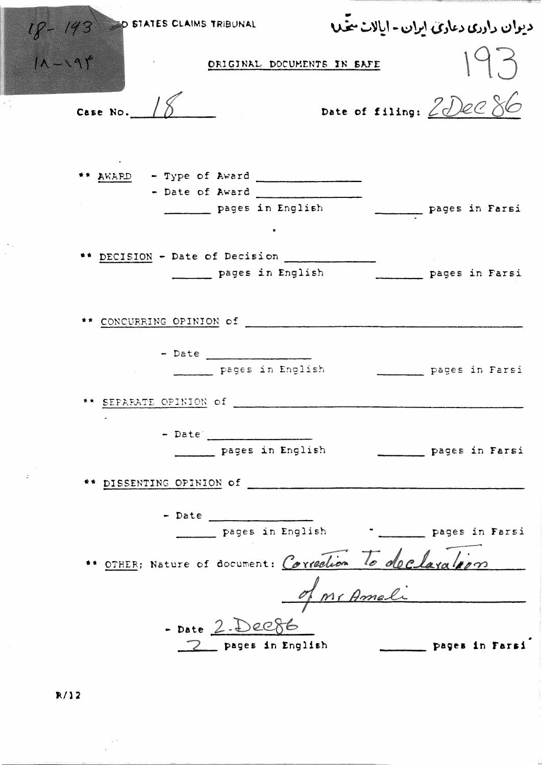| D STATES CLAIMS TRIBUNAL |                                                                                                 | دیوان داددی دعادی ایران - ایالات متحلا |                                  |
|--------------------------|-------------------------------------------------------------------------------------------------|----------------------------------------|----------------------------------|
| $18 - 193$<br>$11 - 199$ | ORIGINAL DOCUMENTS IN SAFE                                                                      |                                        |                                  |
| Case No. $18$            |                                                                                                 | Date of filing: 2DeC 86                |                                  |
|                          | ** AWARD - Type of Award<br>- Date of Award<br>pages in English                                 |                                        | pages in Farsi                   |
|                          | ** DECISION - Date of Decision<br>pages in English                                              |                                        | pages in Farsi                   |
|                          |                                                                                                 |                                        |                                  |
| ** SEPARATE OPINION of   | - Date _________________<br>pages in English                                                    |                                        | pages in Farsi                   |
|                          | - Date 2000<br>pages in English                                                                 |                                        | <b>Example 12</b> Pages in Farsi |
|                          | $-$ Date<br>pages in English and Pages in Farsi                                                 |                                        |                                  |
|                          | " OTHER: Nature of document: Correction To declaration<br>- Date 2. Dec86<br>_ pages in English |                                        | pages in Farsi                   |
|                          |                                                                                                 |                                        |                                  |

 $R/12$ 

 $\sim$ 

 $\frac{1}{2}$  ,

 $\bar{ }$  .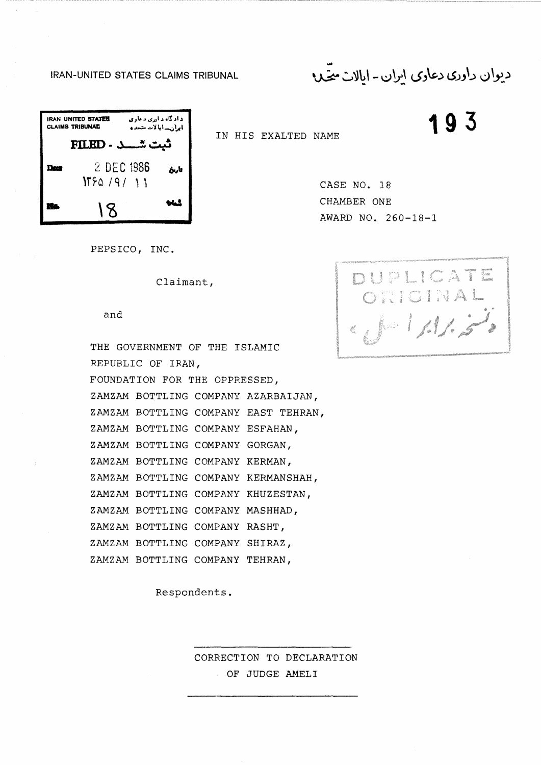... !RAN-UNITED STATES CLAIMS TRIBUNAL ·~ ~)l~\ - ~~] (.>J\.&,:> *(S\_;.,\\_~* l,j\\_,:..)

<sup>0</sup> ..,..:,. -=-"l,,1-.:,!.,,I **193** 

| <b>IRAN UNITED STATES</b><br><b>CLAIMS TRIBUNAL</b> |                          | د اد گاه د اور <i>ی د ما</i> ری<br>بالواريب ابالات متحده |  |
|-----------------------------------------------------|--------------------------|----------------------------------------------------------|--|
| ثبت شـــد - FILED                                   |                          |                                                          |  |
| Daea                                                | 2 DEC 1986<br>NFA 191 11 | تأريخ                                                    |  |
|                                                     | 18                       |                                                          |  |

IN HIS EXALTED NAME

CASE NO. 18 CHAMBER ONE AWARD NO. 260-18-1

PEPSICO, INC.

Claimant,

and

THE GOVERNMENT OF THE ISLAMIC REPUBLIC OF IRAN, FOUNDATION FOR THE OPPRESSED, ZAMZAM BOTTLING COMPANY AZARBAIJAN, ZAMZAM BOTTLING COMPANY EAST TEHRAN, ZAMZAM BOTTLING COMPANY ESFAHAN, ZAMZAM BOTTLING COMPANY GORGAN, ZAMZAM BOTTLING COMPANY KERMAN, ZAMZAM BOTTLING COMPANY KERMANSHAH, ZAMZAM BOTTLING COMPANY KHUZESTAN, ZAMZAM BOTTLING COMPANY MASHHAD, ZAMZAM BOTTLING COMPANY RASHT, ZAMZAM BOTTLING COMPANY SHIRAZ, ZAMZAM BOTTLING COMPANY TEHRAN,

Respondents.

CORRECTION TO DECLARATION OF JUDGE AMELI

DUPLICATE ORIGINAL  $|\cdot|$ ,  $|\cdot|$   $|$   $|$   $|$   $|$ ~,,, W,,«<V••~•,,-,,,-~••-• ~,,,,\_,~, '--•~-'"~',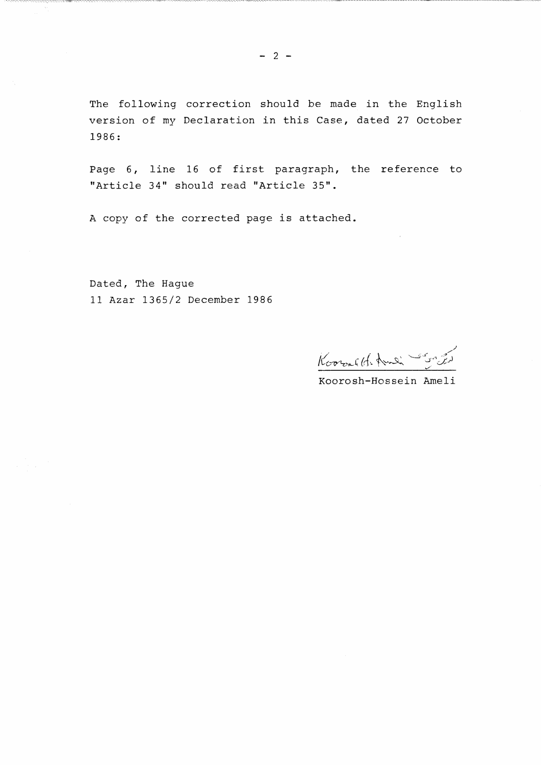The following correction should be made in the English version of my Declaration in this Case, dated 27 October 1986:

Page 6, line 16 of first paragraph, the reference to "Article 34" should read "Article 35".

A copy of the corrected page is attached.

Dated, The Hague 11 Azar 1365/2 December 1986

Kooralth And Song

Koorosh-Hossein Ameli